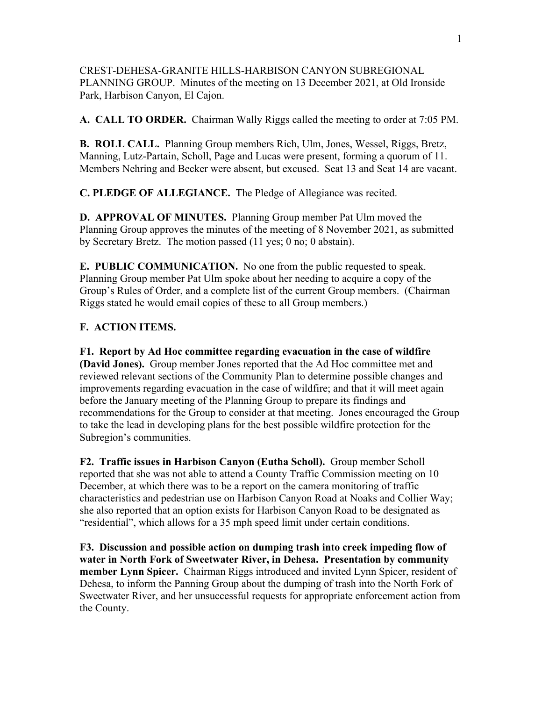CREST-DEHESA-GRANITE HILLS-HARBISON CANYON SUBREGIONAL PLANNING GROUP. Minutes of the meeting on 13 December 2021, at Old Ironside Park, Harbison Canyon, El Cajon.

**A. CALL TO ORDER.** Chairman Wally Riggs called the meeting to order at 7:05 PM.

**B. ROLL CALL.** Planning Group members Rich, Ulm, Jones, Wessel, Riggs, Bretz, Manning, Lutz-Partain, Scholl, Page and Lucas were present, forming a quorum of 11. Members Nehring and Becker were absent, but excused. Seat 13 and Seat 14 are vacant.

**C. PLEDGE OF ALLEGIANCE.** The Pledge of Allegiance was recited.

**D. APPROVAL OF MINUTES.** Planning Group member Pat Ulm moved the Planning Group approves the minutes of the meeting of 8 November 2021, as submitted by Secretary Bretz. The motion passed (11 yes; 0 no; 0 abstain).

**E. PUBLIC COMMUNICATION.** No one from the public requested to speak. Planning Group member Pat Ulm spoke about her needing to acquire a copy of the Group's Rules of Order, and a complete list of the current Group members. (Chairman Riggs stated he would email copies of these to all Group members.)

### **F. ACTION ITEMS.**

**F1. Report by Ad Hoc committee regarding evacuation in the case of wildfire (David Jones).** Group member Jones reported that the Ad Hoc committee met and reviewed relevant sections of the Community Plan to determine possible changes and improvements regarding evacuation in the case of wildfire; and that it will meet again before the January meeting of the Planning Group to prepare its findings and recommendations for the Group to consider at that meeting. Jones encouraged the Group to take the lead in developing plans for the best possible wildfire protection for the Subregion's communities.

**F2. Traffic issues in Harbison Canyon (Eutha Scholl).** Group member Scholl reported that she was not able to attend a County Traffic Commission meeting on 10 December, at which there was to be a report on the camera monitoring of traffic characteristics and pedestrian use on Harbison Canyon Road at Noaks and Collier Way; she also reported that an option exists for Harbison Canyon Road to be designated as "residential", which allows for a 35 mph speed limit under certain conditions.

**F3. Discussion and possible action on dumping trash into creek impeding flow of water in North Fork of Sweetwater River, in Dehesa. Presentation by community member Lynn Spicer.** Chairman Riggs introduced and invited Lynn Spicer, resident of Dehesa, to inform the Panning Group about the dumping of trash into the North Fork of Sweetwater River, and her unsuccessful requests for appropriate enforcement action from the County.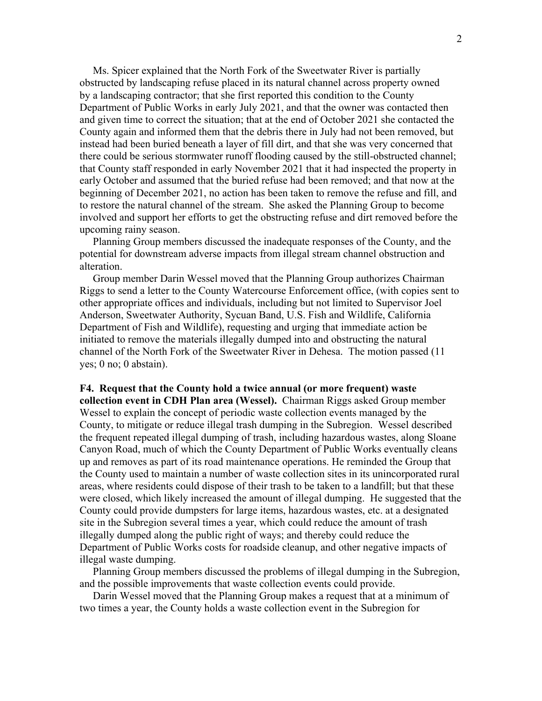Ms. Spicer explained that the North Fork of the Sweetwater River is partially obstructed by landscaping refuse placed in its natural channel across property owned by a landscaping contractor; that she first reported this condition to the County Department of Public Works in early July 2021, and that the owner was contacted then and given time to correct the situation; that at the end of October 2021 she contacted the County again and informed them that the debris there in July had not been removed, but instead had been buried beneath a layer of fill dirt, and that she was very concerned that there could be serious stormwater runoff flooding caused by the still-obstructed channel; that County staff responded in early November 2021 that it had inspected the property in early October and assumed that the buried refuse had been removed; and that now at the beginning of December 2021, no action has been taken to remove the refuse and fill, and to restore the natural channel of the stream. She asked the Planning Group to become involved and support her efforts to get the obstructing refuse and dirt removed before the upcoming rainy season.

 Planning Group members discussed the inadequate responses of the County, and the potential for downstream adverse impacts from illegal stream channel obstruction and alteration.

 Group member Darin Wessel moved that the Planning Group authorizes Chairman Riggs to send a letter to the County Watercourse Enforcement office, (with copies sent to other appropriate offices and individuals, including but not limited to Supervisor Joel Anderson, Sweetwater Authority, Sycuan Band, U.S. Fish and Wildlife, California Department of Fish and Wildlife), requesting and urging that immediate action be initiated to remove the materials illegally dumped into and obstructing the natural channel of the North Fork of the Sweetwater River in Dehesa. The motion passed (11 yes; 0 no; 0 abstain).

**F4. Request that the County hold a twice annual (or more frequent) waste collection event in CDH Plan area (Wessel).** Chairman Riggs asked Group member Wessel to explain the concept of periodic waste collection events managed by the County, to mitigate or reduce illegal trash dumping in the Subregion. Wessel described the frequent repeated illegal dumping of trash, including hazardous wastes, along Sloane Canyon Road, much of which the County Department of Public Works eventually cleans up and removes as part of its road maintenance operations. He reminded the Group that the County used to maintain a number of waste collection sites in its unincorporated rural areas, where residents could dispose of their trash to be taken to a landfill; but that these were closed, which likely increased the amount of illegal dumping. He suggested that the County could provide dumpsters for large items, hazardous wastes, etc. at a designated site in the Subregion several times a year, which could reduce the amount of trash illegally dumped along the public right of ways; and thereby could reduce the Department of Public Works costs for roadside cleanup, and other negative impacts of illegal waste dumping.

 Planning Group members discussed the problems of illegal dumping in the Subregion, and the possible improvements that waste collection events could provide.

 Darin Wessel moved that the Planning Group makes a request that at a minimum of two times a year, the County holds a waste collection event in the Subregion for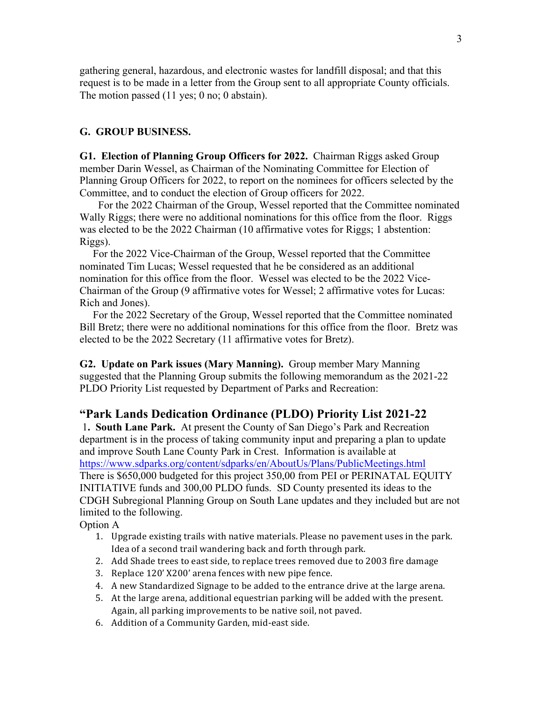gathering general, hazardous, and electronic wastes for landfill disposal; and that this request is to be made in a letter from the Group sent to all appropriate County officials. The motion passed (11 yes; 0 no; 0 abstain).

### **G. GROUP BUSINESS.**

**G1. Election of Planning Group Officers for 2022.** Chairman Riggs asked Group member Darin Wessel, as Chairman of the Nominating Committee for Election of Planning Group Officers for 2022, to report on the nominees for officers selected by the Committee, and to conduct the election of Group officers for 2022.

 For the 2022 Chairman of the Group, Wessel reported that the Committee nominated Wally Riggs; there were no additional nominations for this office from the floor. Riggs was elected to be the 2022 Chairman (10 affirmative votes for Riggs; 1 abstention: Riggs).

 For the 2022 Vice-Chairman of the Group, Wessel reported that the Committee nominated Tim Lucas; Wessel requested that he be considered as an additional nomination for this office from the floor. Wessel was elected to be the 2022 Vice-Chairman of the Group (9 affirmative votes for Wessel; 2 affirmative votes for Lucas: Rich and Jones).

 For the 2022 Secretary of the Group, Wessel reported that the Committee nominated Bill Bretz; there were no additional nominations for this office from the floor. Bretz was elected to be the 2022 Secretary (11 affirmative votes for Bretz).

**G2. Update on Park issues (Mary Manning).** Group member Mary Manning suggested that the Planning Group submits the following memorandum as the 2021-22 PLDO Priority List requested by Department of Parks and Recreation:

#### **"Park Lands Dedication Ordinance (PLDO) Priority List 2021-22**

1**. South Lane Park.** At present the County of San Diego's Park and Recreation department is in the process of taking community input and preparing a plan to update and improve South Lane County Park in Crest. Information is available at https://www.sdparks.org/content/sdparks/en/AboutUs/Plans/PublicMeetings.html There is \$650,000 budgeted for this project 350,00 from PEI or PERINATAL EQUITY INITIATIVE funds and 300,00 PLDO funds. SD County presented its ideas to the CDGH Subregional Planning Group on South Lane updates and they included but are not limited to the following.

Option A

- 1. Upgrade existing trails with native materials. Please no pavement uses in the park. Idea of a second trail wandering back and forth through park.
- 2. Add Shade trees to east side, to replace trees removed due to 2003 fire damage
- 3. Replace 120' X200' arena fences with new pipe fence.
- 4. A new Standardized Signage to be added to the entrance drive at the large arena.
- 5. At the large arena, additional equestrian parking will be added with the present. Again, all parking improvements to be native soil, not paved.
- 6. Addition of a Community Garden, mid-east side.